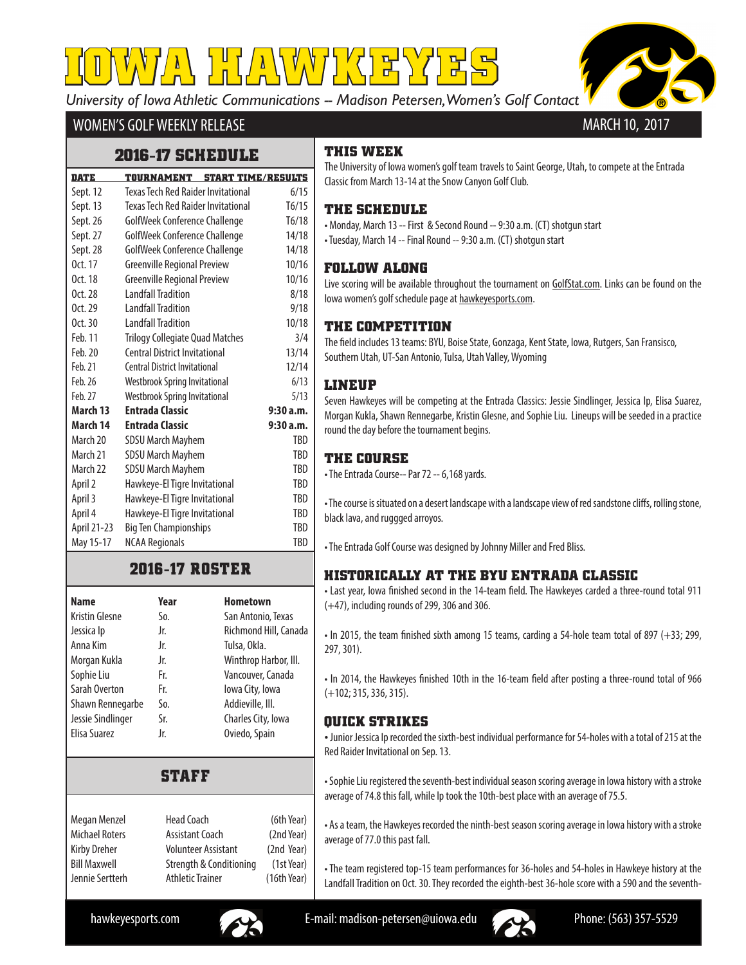*University of Iowa Athletic Communications -- Madison Petersen, Women's Golf Contact*

╷<mark>╿╏</mark>╏<u>/≀</u>╎\*ヾ*╷/╿╎'<╎定



## WOMEN'S GOLF WEEKLY RELEASE

## **2016-17 SCHEDULE**

| <b>DATE</b> | <b>START TIME/RESULTS</b><br><b>TOURNAMENT</b> |            |
|-------------|------------------------------------------------|------------|
| Sept. 12    | Texas Tech Red Raider Invitational             | 6/15       |
| Sept. 13    | <b>Texas Tech Red Raider Invitational</b>      | T6/15      |
| Sept. 26    | GolfWeek Conference Challenge                  | T6/18      |
| Sept. 27    | GolfWeek Conference Challenge                  | 14/18      |
| Sept. 28    | GolfWeek Conference Challenge                  | 14/18      |
| Oct. 17     | <b>Greenville Regional Preview</b>             | 10/16      |
| Oct. 18     | <b>Greenville Regional Preview</b>             | 10/16      |
| Oct. 28     | Landfall Tradition                             | 8/18       |
| Oct. 29     | <b>Landfall Tradition</b>                      | 9/18       |
| Oct. 30     | <b>Landfall Tradition</b>                      | 10/18      |
| Feb. 11     | <b>Trilogy Collegiate Quad Matches</b>         | 3/4        |
| Feb. 20     | <b>Central District Invitational</b>           | 13/14      |
| Feb. 21     | <b>Central District Invitational</b>           | 12/14      |
| Feb. 26     | Westbrook Spring Invitational                  | 6/13       |
| Feb. 27     | <b>Westbrook Spring Invitational</b>           | 5/13       |
| March 13    | <b>Entrada Classic</b>                         | 9:30a.m.   |
| March 14    | <b>Entrada Classic</b>                         | 9:30a.m.   |
| March 20    | <b>SDSU March Mayhem</b>                       | TBD        |
| March 21    | <b>SDSU March Mayhem</b>                       | TBD        |
| March 22    | <b>SDSU March Mayhem</b>                       | <b>TBD</b> |
| April 2     | Hawkeye-El Tigre Invitational                  | TBD        |
| April 3     | Hawkeye-El Tigre Invitational                  | TBD        |
| April 4     | Hawkeye-El Tigre Invitational                  | TBD        |
| April 21-23 | <b>Big Ten Championships</b>                   | TBD        |
| May 15-17   | <b>NCAA Regionals</b>                          | TBD        |

# **2016-17 ROSTER**

| Name                  | Year | <b>Hometown</b>       |
|-----------------------|------|-----------------------|
| <b>Kristin Glesne</b> | So.  | San Antonio, Texas    |
| Jessica Ip            | Jr.  | Richmond Hill, Canada |
| Anna Kim              | Jr.  | Tulsa, Okla.          |
| Morgan Kukla          | Jr.  | Winthrop Harbor, III. |
| Sophie Liu            | Fr.  | Vancouver, Canada     |
| Sarah Overton         | Fr.  | lowa City, Iowa       |
| Shawn Rennegarbe      | So.  | Addieville, III.      |
| Jessie Sindlinger     | Sr.  | Charles City, Iowa    |
| Elisa Suarez          | Jr.  | Oviedo, Spain         |

# **STAFF**

| Megan Menzel          | <b>Head Coach</b>          | (6th Year)  |
|-----------------------|----------------------------|-------------|
| <b>Michael Roters</b> | Assistant Coach            | (2nd Year)  |
| Kirby Dreher          | <b>Volunteer Assistant</b> | (2nd Year)  |
| <b>Bill Maxwell</b>   | Strength & Conditioning    | (1st Year)  |
| Jennie Sertterh       | <b>Athletic Trainer</b>    | (16th Year) |
|                       |                            |             |

# **THIS WEEK**

The University of Iowa women's golf team travels to Saint George, Utah, to compete at the Entrada Classic from March 13-14 at the Snow Canyon Golf Club.

## **THE SCHEDULE**

• Monday, March 13 -- First & Second Round -- 9:30 a.m. (CT) shotgun start • Tuesday, March 14 -- Final Round -- 9:30 a.m. (CT) shotgun start

#### **FOLLOW ALONG**

Live scoring will be available throughout the tournament on GolfStat.com. Links can be found on the Iowa women's golf schedule page at hawkeyesports.com.

### **THE COMPETITION**

The field includes 13 teams: BYU, Boise State, Gonzaga, Kent State, Iowa, Rutgers, San Fransisco, Southern Utah, UT-San Antonio, Tulsa, Utah Valley, Wyoming

#### **LINEUP**

Seven Hawkeyes will be competing at the Entrada Classics: Jessie Sindlinger, Jessica Ip, Elisa Suarez, Morgan Kukla, Shawn Rennegarbe, Kristin Glesne, and Sophie Liu. Lineups will be seeded in a practice round the day before the tournament begins.

## **THE COURSE**

• The Entrada Course-- Par 72 -- 6,168 yards.

• The course is situated on a desert landscape with a landscape view of red sandstone cliffs, rolling stone, black lava, and ruggged arroyos.

• The Entrada Golf Course was designed by Johnny Miller and Fred Bliss.

### **HISTORICALLY AT THE BYU ENTRADA CLASSIC**

• Last year, Iowa finished second in the 14-team field. The Hawkeyes carded a three-round total 911 (+47), including rounds of 299, 306 and 306.

• In 2015, the team finished sixth among 15 teams, carding a 54-hole team total of 897 (+33; 299, 297, 301).

• In 2014, the Hawkeyes finished 10th in the 16-team field after posting a three-round total of 966 (+102; 315, 336, 315).

#### **QUICK STRIKES**

• Junior Jessica Ip recorded the sixth-best individual performance for 54-holes with a total of 215 at the Red Raider Invitational on Sep. 13.

• Sophie Liu registered the seventh-best individual season scoring average in Iowa history with a stroke average of 74.8 this fall, while Ip took the 10th-best place with an average of 75.5.

• As a team, the Hawkeyes recorded the ninth-best season scoring average in Iowa history with a stroke average of 77.0 this past fall.

• The team registered top-15 team performances for 36-holes and 54-holes in Hawkeye history at the Landfall Tradition on Oct. 30. They recorded the eighth-best 36-hole score with a 590 and the seventh-